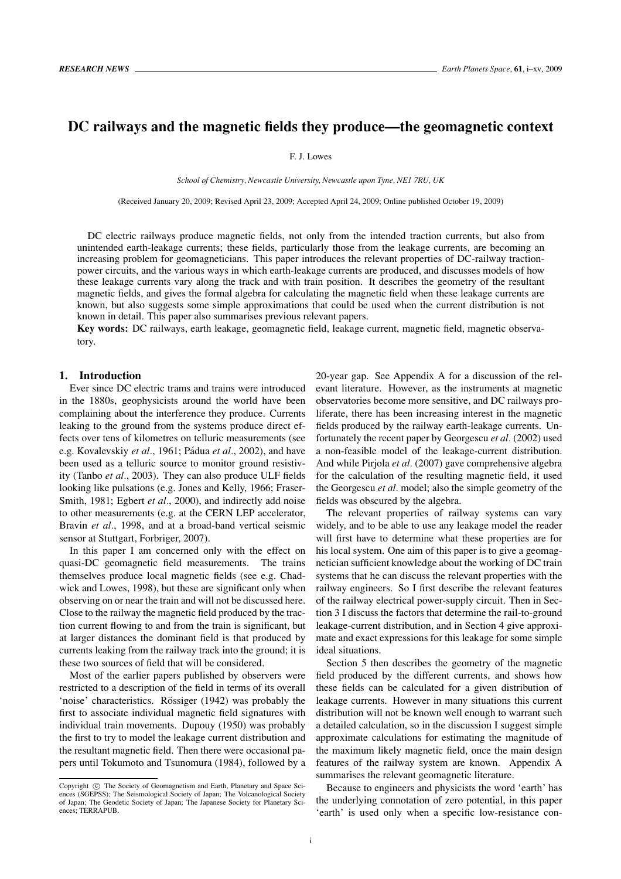# **DC railways and the magnetic fields they produce—the geomagnetic context**

F. J. Lowes

*School of Chemistry, Newcastle University, Newcastle upon Tyne, NE1 7RU, UK*

(Received January 20, 2009; Revised April 23, 2009; Accepted April 24, 2009; Online published October 19, 2009)

DC electric railways produce magnetic fields, not only from the intended traction currents, but also from unintended earth-leakage currents; these fields, particularly those from the leakage currents, are becoming an increasing problem for geomagneticians. This paper introduces the relevant properties of DC-railway tractionpower circuits, and the various ways in which earth-leakage currents are produced, and discusses models of how these leakage currents vary along the track and with train position. It describes the geometry of the resultant magnetic fields, and gives the formal algebra for calculating the magnetic field when these leakage currents are known, but also suggests some simple approximations that could be used when the current distribution is not known in detail. This paper also summarises previous relevant papers.

**Key words:** DC railways, earth leakage, geomagnetic field, leakage current, magnetic field, magnetic observatory.

# **1. Introduction**

Ever since DC electric trams and trains were introduced in the 1880s, geophysicists around the world have been complaining about the interference they produce. Currents leaking to the ground from the systems produce direct effects over tens of kilometres on telluric measurements (see e.g. Kovalevskiy *et al.*, 1961; Pádua *et al.*, 2002), and have been used as a telluric source to monitor ground resistivity (Tanbo *et al.*, 2003). They can also produce ULF fields looking like pulsations (e.g. Jones and Kelly, 1966; Fraser-Smith, 1981; Egbert *et al.*, 2000), and indirectly add noise to other measurements (e.g. at the CERN LEP accelerator, Bravin *et al.*, 1998, and at a broad-band vertical seismic sensor at Stuttgart, Forbriger, 2007).

In this paper I am concerned only with the effect on quasi-DC geomagnetic field measurements. The trains themselves produce local magnetic fields (see e.g. Chadwick and Lowes, 1998), but these are significant only when observing on or near the train and will not be discussed here. Close to the railway the magnetic field produced by the traction current flowing to and from the train is significant, but at larger distances the dominant field is that produced by currents leaking from the railway track into the ground; it is these two sources of field that will be considered.

Most of the earlier papers published by observers were restricted to a description of the field in terms of its overall 'noise' characteristics. Rössiger (1942) was probably the first to associate individual magnetic field signatures with individual train movements. Dupouy (1950) was probably the first to try to model the leakage current distribution and the resultant magnetic field. Then there were occasional papers until Tokumoto and Tsunomura (1984), followed by a 20-year gap. See Appendix A for a discussion of the relevant literature. However, as the instruments at magnetic observatories become more sensitive, and DC railways proliferate, there has been increasing interest in the magnetic fields produced by the railway earth-leakage currents. Unfortunately the recent paper by Georgescu *et al.* (2002) used a non-feasible model of the leakage-current distribution. And while Pirjola *et al.* (2007) gave comprehensive algebra for the calculation of the resulting magnetic field, it used the Georgescu *et al.* model; also the simple geometry of the fields was obscured by the algebra.

The relevant properties of railway systems can vary widely, and to be able to use any leakage model the reader will first have to determine what these properties are for his local system. One aim of this paper is to give a geomagnetician sufficient knowledge about the working of DC train systems that he can discuss the relevant properties with the railway engineers. So I first describe the relevant features of the railway electrical power-supply circuit. Then in Section 3 I discuss the factors that determine the rail-to-ground leakage-current distribution, and in Section 4 give approximate and exact expressions for this leakage for some simple ideal situations.

Section 5 then describes the geometry of the magnetic field produced by the different currents, and shows how these fields can be calculated for a given distribution of leakage currents. However in many situations this current distribution will not be known well enough to warrant such a detailed calculation, so in the discussion I suggest simple approximate calculations for estimating the magnitude of the maximum likely magnetic field, once the main design features of the railway system are known. Appendix A summarises the relevant geomagnetic literature.

Because to engineers and physicists the word 'earth' has the underlying connotation of zero potential, in this paper 'earth' is used only when a specific low-resistance con-

Copyright  $\odot$  The Society of Geomagnetism and Earth, Planetary and Space Sciences (SGEPSS); The Seismological Society of Japan; The Volcanological Society of Japan; The Geodetic Society of Japan; The Japanese Society for Planetary Sciences; TERRAPUB.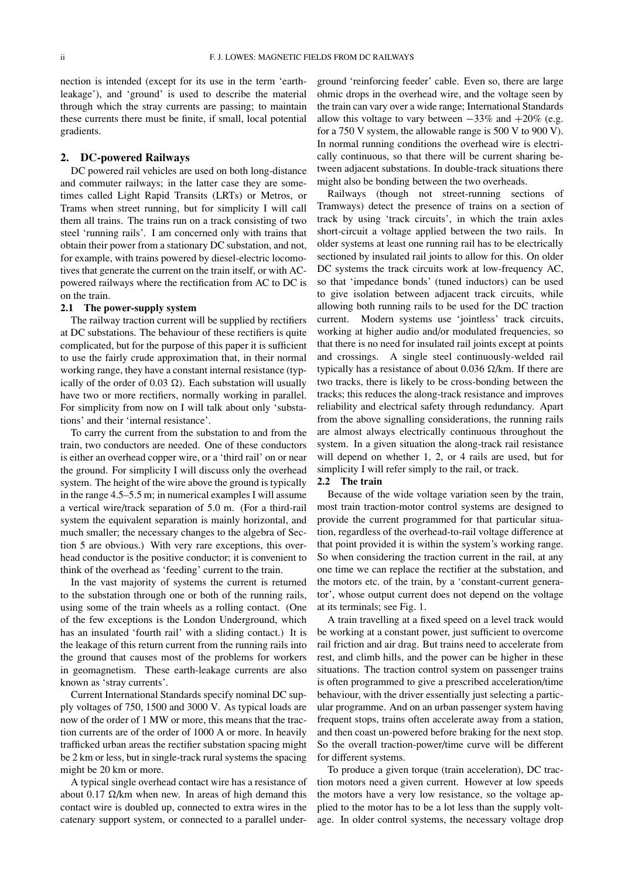nection is intended (except for its use in the term 'earthleakage'), and 'ground' is used to describe the material through which the stray currents are passing; to maintain these currents there must be finite, if small, local potential gradients.

### **2. DC-powered Railways**

DC powered rail vehicles are used on both long-distance and commuter railways; in the latter case they are sometimes called Light Rapid Transits (LRTs) or Metros, or Trams when street running, but for simplicity I will call them all trains. The trains run on a track consisting of two steel 'running rails'. I am concerned only with trains that obtain their power from a stationary DC substation, and not, for example, with trains powered by diesel-electric locomotives that generate the current on the train itself, or with ACpowered railways where the rectification from AC to DC is on the train.

### **2.1 The power-supply system**

The railway traction current will be supplied by rectifiers at DC substations. The behaviour of these rectifiers is quite complicated, but for the purpose of this paper it is sufficient to use the fairly crude approximation that, in their normal working range, they have a constant internal resistance (typically of the order of 0.03  $\Omega$ ). Each substation will usually have two or more rectifiers, normally working in parallel. For simplicity from now on I will talk about only 'substations' and their 'internal resistance'.

To carry the current from the substation to and from the train, two conductors are needed. One of these conductors is either an overhead copper wire, or a 'third rail' on or near the ground. For simplicity I will discuss only the overhead system. The height of the wire above the ground is typically in the range 4.5–5.5 m; in numerical examples I will assume a vertical wire/track separation of 5.0 m. (For a third-rail system the equivalent separation is mainly horizontal, and much smaller; the necessary changes to the algebra of Section 5 are obvious.) With very rare exceptions, this overhead conductor is the positive conductor; it is convenient to think of the overhead as 'feeding' current to the train.

In the vast majority of systems the current is returned to the substation through one or both of the running rails, using some of the train wheels as a rolling contact. (One of the few exceptions is the London Underground, which has an insulated 'fourth rail' with a sliding contact.) It is the leakage of this return current from the running rails into the ground that causes most of the problems for workers in geomagnetism. These earth-leakage currents are also known as 'stray currents'.

Current International Standards specify nominal DC supply voltages of 750, 1500 and 3000 V. As typical loads are now of the order of 1 MW or more, this means that the traction currents are of the order of 1000 A or more. In heavily trafficked urban areas the rectifier substation spacing might be 2 km or less, but in single-track rural systems the spacing might be 20 km or more.

A typical single overhead contact wire has a resistance of about  $0.17 \Omega/km$  when new. In areas of high demand this contact wire is doubled up, connected to extra wires in the catenary support system, or connected to a parallel underground 'reinforcing feeder' cable. Even so, there are large ohmic drops in the overhead wire, and the voltage seen by the train can vary over a wide range; International Standards allow this voltage to vary between  $-33\%$  and  $+20\%$  (e.g. for a 750 V system, the allowable range is 500 V to 900 V). In normal running conditions the overhead wire is electrically continuous, so that there will be current sharing between adjacent substations. In double-track situations there might also be bonding between the two overheads.

Railways (though not street-running sections of Tramways) detect the presence of trains on a section of track by using 'track circuits', in which the train axles short-circuit a voltage applied between the two rails. In older systems at least one running rail has to be electrically sectioned by insulated rail joints to allow for this. On older DC systems the track circuits work at low-frequency AC, so that 'impedance bonds' (tuned inductors) can be used to give isolation between adjacent track circuits, while allowing both running rails to be used for the DC traction current. Modern systems use 'jointless' track circuits, working at higher audio and/or modulated frequencies, so that there is no need for insulated rail joints except at points and crossings. A single steel continuously-welded rail typically has a resistance of about  $0.036 \Omega/km$ . If there are two tracks, there is likely to be cross-bonding between the tracks; this reduces the along-track resistance and improves reliability and electrical safety through redundancy. Apart from the above signalling considerations, the running rails are almost always electrically continuous throughout the system. In a given situation the along-track rail resistance will depend on whether 1, 2, or 4 rails are used, but for simplicity I will refer simply to the rail, or track.

#### **2.2 The train**

Because of the wide voltage variation seen by the train, most train traction-motor control systems are designed to provide the current programmed for that particular situation, regardless of the overhead-to-rail voltage difference at that point provided it is within the system's working range. So when considering the traction current in the rail, at any one time we can replace the rectifier at the substation, and the motors etc. of the train, by a 'constant-current generator', whose output current does not depend on the voltage at its terminals; see Fig. 1.

A train travelling at a fixed speed on a level track would be working at a constant power, just sufficient to overcome rail friction and air drag. But trains need to accelerate from rest, and climb hills, and the power can be higher in these situations. The traction control system on passenger trains is often programmed to give a prescribed acceleration/time behaviour, with the driver essentially just selecting a particular programme. And on an urban passenger system having frequent stops, trains often accelerate away from a station, and then coast un-powered before braking for the next stop. So the overall traction-power/time curve will be different for different systems.

To produce a given torque (train acceleration), DC traction motors need a given current. However at low speeds the motors have a very low resistance, so the voltage applied to the motor has to be a lot less than the supply voltage. In older control systems, the necessary voltage drop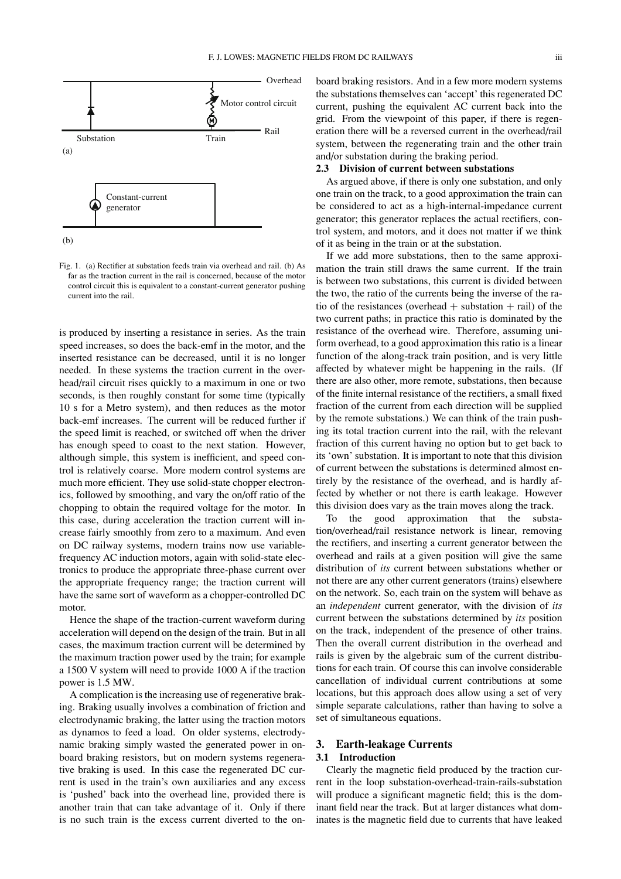

Fig. 1. (a) Rectifier at substation feeds train via overhead and rail. (b) As far as the traction current in the rail is concerned, because of the motor control circuit this is equivalent to a constant-current generator pushing current into the rail.

is produced by inserting a resistance in series. As the train speed increases, so does the back-emf in the motor, and the inserted resistance can be decreased, until it is no longer needed. In these systems the traction current in the overhead/rail circuit rises quickly to a maximum in one or two seconds, is then roughly constant for some time (typically 10 s for a Metro system), and then reduces as the motor back-emf increases. The current will be reduced further if the speed limit is reached, or switched off when the driver has enough speed to coast to the next station. However, although simple, this system is inefficient, and speed control is relatively coarse. More modern control systems are much more efficient. They use solid-state chopper electronics, followed by smoothing, and vary the on/off ratio of the chopping to obtain the required voltage for the motor. In this case, during acceleration the traction current will increase fairly smoothly from zero to a maximum. And even on DC railway systems, modern trains now use variablefrequency AC induction motors, again with solid-state electronics to produce the appropriate three-phase current over the appropriate frequency range; the traction current will have the same sort of waveform as a chopper-controlled DC motor.

Hence the shape of the traction-current waveform during acceleration will depend on the design of the train. But in all cases, the maximum traction current will be determined by the maximum traction power used by the train; for example a 1500 V system will need to provide 1000 A if the traction power is 1.5 MW.

A complication is the increasing use of regenerative braking. Braking usually involves a combination of friction and electrodynamic braking, the latter using the traction motors as dynamos to feed a load. On older systems, electrodynamic braking simply wasted the generated power in onboard braking resistors, but on modern systems regenerative braking is used. In this case the regenerated DC current is used in the train's own auxiliaries and any excess is 'pushed' back into the overhead line, provided there is another train that can take advantage of it. Only if there is no such train is the excess current diverted to the onboard braking resistors. And in a few more modern systems the substations themselves can 'accept' this regenerated DC current, pushing the equivalent AC current back into the grid. From the viewpoint of this paper, if there is regeneration there will be a reversed current in the overhead/rail system, between the regenerating train and the other train and/or substation during the braking period.

### **2.3 Division of current between substations**

As argued above, if there is only one substation, and only one train on the track, to a good approximation the train can be considered to act as a high-internal-impedance current generator; this generator replaces the actual rectifiers, control system, and motors, and it does not matter if we think of it as being in the train or at the substation.

If we add more substations, then to the same approximation the train still draws the same current. If the train is between two substations, this current is divided between the two, the ratio of the currents being the inverse of the ratio of the resistances (overhead  $+$  substation  $+$  rail) of the two current paths; in practice this ratio is dominated by the resistance of the overhead wire. Therefore, assuming uniform overhead, to a good approximation this ratio is a linear function of the along-track train position, and is very little affected by whatever might be happening in the rails. (If there are also other, more remote, substations, then because of the finite internal resistance of the rectifiers, a small fixed fraction of the current from each direction will be supplied by the remote substations.) We can think of the train pushing its total traction current into the rail, with the relevant fraction of this current having no option but to get back to its 'own' substation. It is important to note that this division of current between the substations is determined almost entirely by the resistance of the overhead, and is hardly affected by whether or not there is earth leakage. However this division does vary as the train moves along the track.

To the good approximation that the substation/overhead/rail resistance network is linear, removing the rectifiers, and inserting a current generator between the overhead and rails at a given position will give the same distribution of *its* current between substations whether or not there are any other current generators (trains) elsewhere on the network. So, each train on the system will behave as an *independent* current generator, with the division of *its* current between the substations determined by *its* position on the track, independent of the presence of other trains. Then the overall current distribution in the overhead and rails is given by the algebraic sum of the current distributions for each train. Of course this can involve considerable cancellation of individual current contributions at some locations, but this approach does allow using a set of very simple separate calculations, rather than having to solve a set of simultaneous equations.

# **3. Earth-leakage Currents**

# **3.1 Introduction**

Clearly the magnetic field produced by the traction current in the loop substation-overhead-train-rails-substation will produce a significant magnetic field; this is the dominant field near the track. But at larger distances what dominates is the magnetic field due to currents that have leaked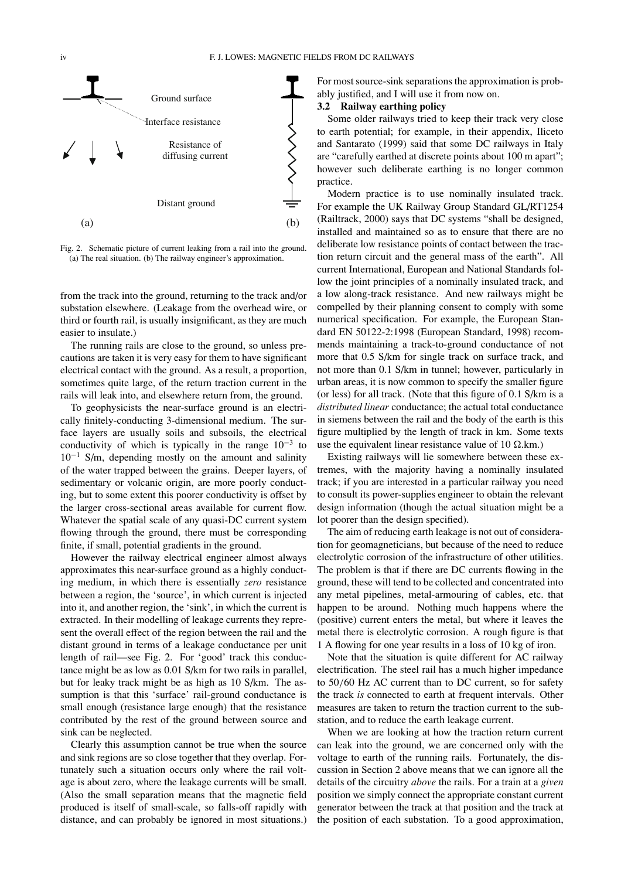

Fig. 2. Schematic picture of current leaking from a rail into the ground. (a) The real situation. (b) The railway engineer's approximation.

from the track into the ground, returning to the track and/or substation elsewhere. (Leakage from the overhead wire, or third or fourth rail, is usually insignificant, as they are much easier to insulate.)

The running rails are close to the ground, so unless precautions are taken it is very easy for them to have significant electrical contact with the ground. As a result, a proportion, sometimes quite large, of the return traction current in the rails will leak into, and elsewhere return from, the ground.

To geophysicists the near-surface ground is an electrically finitely-conducting 3-dimensional medium. The surface layers are usually soils and subsoils, the electrical conductivity of which is typically in the range  $10^{-3}$  to  $10^{-1}$  S/m, depending mostly on the amount and salinity of the water trapped between the grains. Deeper layers, of sedimentary or volcanic origin, are more poorly conducting, but to some extent this poorer conductivity is offset by the larger cross-sectional areas available for current flow. Whatever the spatial scale of any quasi-DC current system flowing through the ground, there must be corresponding finite, if small, potential gradients in the ground.

However the railway electrical engineer almost always approximates this near-surface ground as a highly conducting medium, in which there is essentially *zero* resistance between a region, the 'source', in which current is injected into it, and another region, the 'sink', in which the current is extracted. In their modelling of leakage currents they represent the overall effect of the region between the rail and the distant ground in terms of a leakage conductance per unit length of rail—see Fig. 2. For 'good' track this conductance might be as low as 0.01 S/km for two rails in parallel, but for leaky track might be as high as 10 S/km. The assumption is that this 'surface' rail-ground conductance is small enough (resistance large enough) that the resistance contributed by the rest of the ground between source and sink can be neglected.

Clearly this assumption cannot be true when the source and sink regions are so close together that they overlap. Fortunately such a situation occurs only where the rail voltage is about zero, where the leakage currents will be small. (Also the small separation means that the magnetic field produced is itself of small-scale, so falls-off rapidly with distance, and can probably be ignored in most situations.)

For most source-sink separations the approximation is probably justified, and I will use it from now on.

### **3.2 Railway earthing policy**

Some older railways tried to keep their track very close to earth potential; for example, in their appendix, Iliceto and Santarato (1999) said that some DC railways in Italy are "carefully earthed at discrete points about 100 m apart"; however such deliberate earthing is no longer common practice.

Modern practice is to use nominally insulated track. For example the UK Railway Group Standard GL/RT1254 (Railtrack, 2000) says that DC systems "shall be designed, installed and maintained so as to ensure that there are no deliberate low resistance points of contact between the traction return circuit and the general mass of the earth". All current International, European and National Standards follow the joint principles of a nominally insulated track, and a low along-track resistance. And new railways might be compelled by their planning consent to comply with some numerical specification. For example, the European Standard EN 50122-2:1998 (European Standard, 1998) recommends maintaining a track-to-ground conductance of not more that 0.5 S/km for single track on surface track, and not more than 0.1 S/km in tunnel; however, particularly in urban areas, it is now common to specify the smaller figure (or less) for all track. (Note that this figure of 0.1 S/km is a *distributed linear* conductance; the actual total conductance in siemens between the rail and the body of the earth is this figure multiplied by the length of track in km. Some texts use the equivalent linear resistance value of  $10 \Omega$ .km.)

Existing railways will lie somewhere between these extremes, with the majority having a nominally insulated track; if you are interested in a particular railway you need to consult its power-supplies engineer to obtain the relevant design information (though the actual situation might be a lot poorer than the design specified).

The aim of reducing earth leakage is not out of consideration for geomagneticians, but because of the need to reduce electrolytic corrosion of the infrastructure of other utilities. The problem is that if there are DC currents flowing in the ground, these will tend to be collected and concentrated into any metal pipelines, metal-armouring of cables, etc. that happen to be around. Nothing much happens where the (positive) current enters the metal, but where it leaves the metal there is electrolytic corrosion. A rough figure is that 1 A flowing for one year results in a loss of 10 kg of iron.

Note that the situation is quite different for AC railway electrification. The steel rail has a much higher impedance to 50/60 Hz AC current than to DC current, so for safety the track *is* connected to earth at frequent intervals. Other measures are taken to return the traction current to the substation, and to reduce the earth leakage current.

When we are looking at how the traction return current can leak into the ground, we are concerned only with the voltage to earth of the running rails. Fortunately, the discussion in Section 2 above means that we can ignore all the details of the circuitry *above* the rails. For a train at a *given* position we simply connect the appropriate constant current generator between the track at that position and the track at the position of each substation. To a good approximation,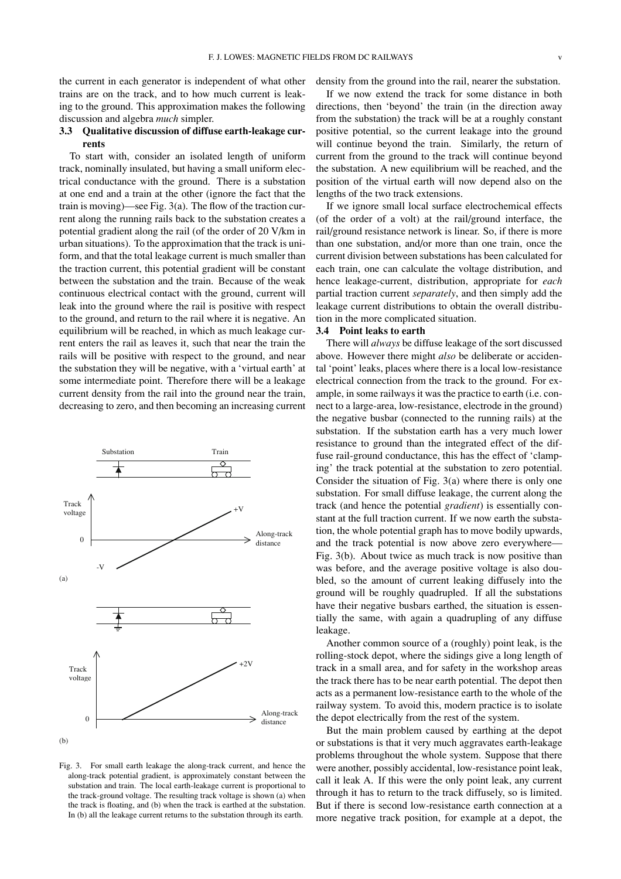the current in each generator is independent of what other trains are on the track, and to how much current is leaking to the ground. This approximation makes the following discussion and algebra *much* simpler.

# **3.3 Qualitative discussion of diffuse earth-leakage currents**

To start with, consider an isolated length of uniform track, nominally insulated, but having a small uniform electrical conductance with the ground. There is a substation at one end and a train at the other (ignore the fact that the train is moving)—see Fig. 3(a). The flow of the traction current along the running rails back to the substation creates a potential gradient along the rail (of the order of 20 V/km in urban situations). To the approximation that the track is uniform, and that the total leakage current is much smaller than the traction current, this potential gradient will be constant between the substation and the train. Because of the weak continuous electrical contact with the ground, current will leak into the ground where the rail is positive with respect to the ground, and return to the rail where it is negative. An equilibrium will be reached, in which as much leakage current enters the rail as leaves it, such that near the train the rails will be positive with respect to the ground, and near the substation they will be negative, with a 'virtual earth' at some intermediate point. Therefore there will be a leakage current density from the rail into the ground near the train, decreasing to zero, and then becoming an increasing current



Fig. 3. For small earth leakage the along-track current, and hence the along-track potential gradient, is approximately constant between the substation and train. The local earth-leakage current is proportional to the track-ground voltage. The resulting track voltage is shown (a) when the track is floating, and (b) when the track is earthed at the substation. In (b) all the leakage current returns to the substation through its earth.

density from the ground into the rail, nearer the substation.

If we now extend the track for some distance in both directions, then 'beyond' the train (in the direction away from the substation) the track will be at a roughly constant positive potential, so the current leakage into the ground will continue beyond the train. Similarly, the return of current from the ground to the track will continue beyond the substation. A new equilibrium will be reached, and the position of the virtual earth will now depend also on the lengths of the two track extensions.

If we ignore small local surface electrochemical effects (of the order of a volt) at the rail/ground interface, the rail/ground resistance network is linear. So, if there is more than one substation, and/or more than one train, once the current division between substations has been calculated for each train, one can calculate the voltage distribution, and hence leakage-current, distribution, appropriate for *each* partial traction current *separately*, and then simply add the leakage current distributions to obtain the overall distribution in the more complicated situation.

## **3.4 Point leaks to earth**

There will *always* be diffuse leakage of the sort discussed above. However there might *also* be deliberate or accidental 'point' leaks, places where there is a local low-resistance electrical connection from the track to the ground. For example, in some railways it was the practice to earth (i.e. connect to a large-area, low-resistance, electrode in the ground) the negative busbar (connected to the running rails) at the substation. If the substation earth has a very much lower resistance to ground than the integrated effect of the diffuse rail-ground conductance, this has the effect of 'clamping' the track potential at the substation to zero potential. Consider the situation of Fig. 3(a) where there is only one substation. For small diffuse leakage, the current along the track (and hence the potential *gradient*) is essentially constant at the full traction current. If we now earth the substation, the whole potential graph has to move bodily upwards, and the track potential is now above zero everywhere— Fig. 3(b). About twice as much track is now positive than was before, and the average positive voltage is also doubled, so the amount of current leaking diffusely into the ground will be roughly quadrupled. If all the substations have their negative busbars earthed, the situation is essentially the same, with again a quadrupling of any diffuse leakage.

Another common source of a (roughly) point leak, is the rolling-stock depot, where the sidings give a long length of track in a small area, and for safety in the workshop areas the track there has to be near earth potential. The depot then acts as a permanent low-resistance earth to the whole of the railway system. To avoid this, modern practice is to isolate the depot electrically from the rest of the system.

But the main problem caused by earthing at the depot or substations is that it very much aggravates earth-leakage problems throughout the whole system. Suppose that there were another, possibly accidental, low-resistance point leak, call it leak A. If this were the only point leak, any current through it has to return to the track diffusely, so is limited. But if there is second low-resistance earth connection at a more negative track position, for example at a depot, the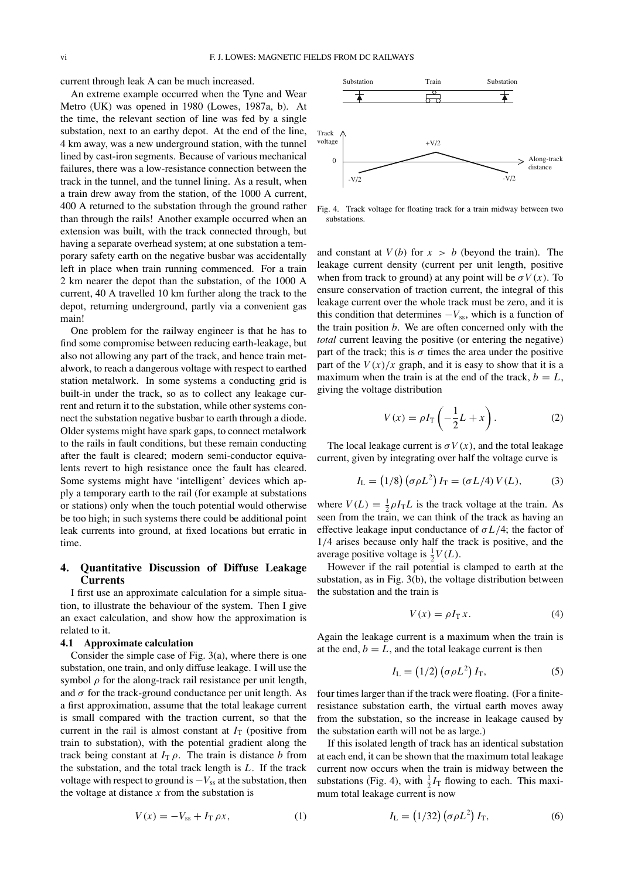current through leak A can be much increased.

An extreme example occurred when the Tyne and Wear Metro (UK) was opened in 1980 (Lowes, 1987a, b). At the time, the relevant section of line was fed by a single substation, next to an earthy depot. At the end of the line, 4 km away, was a new underground station, with the tunnel lined by cast-iron segments. Because of various mechanical failures, there was a low-resistance connection between the track in the tunnel, and the tunnel lining. As a result, when a train drew away from the station, of the 1000 A current, 400 A returned to the substation through the ground rather than through the rails! Another example occurred when an extension was built, with the track connected through, but having a separate overhead system; at one substation a temporary safety earth on the negative busbar was accidentally left in place when train running commenced. For a train 2 km nearer the depot than the substation, of the 1000 A current, 40 A travelled 10 km further along the track to the depot, returning underground, partly via a convenient gas main!

One problem for the railway engineer is that he has to find some compromise between reducing earth-leakage, but also not allowing any part of the track, and hence train metalwork, to reach a dangerous voltage with respect to earthed station metalwork. In some systems a conducting grid is built-in under the track, so as to collect any leakage current and return it to the substation, while other systems connect the substation negative busbar to earth through a diode. Older systems might have spark gaps, to connect metalwork to the rails in fault conditions, but these remain conducting after the fault is cleared; modern semi-conductor equivalents revert to high resistance once the fault has cleared. Some systems might have 'intelligent' devices which apply a temporary earth to the rail (for example at substations or stations) only when the touch potential would otherwise be too high; in such systems there could be additional point leak currents into ground, at fixed locations but erratic in time.

# **4. Quantitative Discussion of Diffuse Leakage Currents**

I first use an approximate calculation for a simple situation, to illustrate the behaviour of the system. Then I give an exact calculation, and show how the approximation is related to it.

## **4.1 Approximate calculation**

Consider the simple case of Fig. 3(a), where there is one substation, one train, and only diffuse leakage. I will use the symbol  $\rho$  for the along-track rail resistance per unit length, and  $\sigma$  for the track-ground conductance per unit length. As a first approximation, assume that the total leakage current is small compared with the traction current, so that the current in the rail is almost constant at  $I<sub>T</sub>$  (positive from train to substation), with the potential gradient along the track being constant at  $I_T \rho$ . The train is distance *b* from the substation, and the total track length is *L*. If the track voltage with respect to ground is  $-V_{ss}$  at the substation, then the voltage at distance  $x$  from the substation is



Fig. 4. Track voltage for floating track for a train midway between two substations.

and constant at  $V(b)$  for  $x > b$  (beyond the train). The leakage current density (current per unit length, positive when from track to ground) at any point will be  $\sigma V(x)$ . To ensure conservation of traction current, the integral of this leakage current over the whole track must be zero, and it is this condition that determines  $-V_{ss}$ , which is a function of the train position *b*. We are often concerned only with the *total* current leaving the positive (or entering the negative) part of the track; this is  $\sigma$  times the area under the positive part of the  $V(x)/x$  graph, and it is easy to show that it is a maximum when the train is at the end of the track,  $b = L$ , giving the voltage distribution

$$
V(x) = \rho I_{\rm T} \left( -\frac{1}{2}L + x \right). \tag{2}
$$

The local leakage current is  $\sigma V(x)$ , and the total leakage current, given by integrating over half the voltage curve is

$$
I_{L} = (1/8) (\sigma \rho L^{2}) I_{T} = (\sigma L/4) V(L), \qquad (3)
$$

where  $V(L) = \frac{1}{2} \rho I_T L$  is the track voltage at the train. As seen from the train, we can think of the track as having an effective leakage input conductance of  $\sigma L/4$ ; the factor of 1/4 arises because only half the track is positive, and the average positive voltage is  $\frac{1}{2}V(L)$ .

However if the rail potential is clamped to earth at the substation, as in Fig. 3(b), the voltage distribution between the substation and the train is

$$
V(x) = \rho I_{\rm T} x. \tag{4}
$$

Again the leakage current is a maximum when the train is at the end,  $b = L$ , and the total leakage current is then

$$
I_{\rm L} = (1/2) \left( \sigma \rho L^2 \right) I_{\rm T}, \tag{5}
$$

four times larger than if the track were floating. (For a finiteresistance substation earth, the virtual earth moves away from the substation, so the increase in leakage caused by the substation earth will not be as large.)

If this isolated length of track has an identical substation at each end, it can be shown that the maximum total leakage current now occurs when the train is midway between the substations (Fig. 4), with  $\frac{1}{2}I_T$  flowing to each. This maximum total leakage current is now

$$
V(x) = -V_{\rm ss} + I_{\rm T} \rho x,\tag{1}
$$

$$
I_{\rm L} = (1/32) \left( \sigma \rho L^2 \right) I_{\rm T}, \tag{6}
$$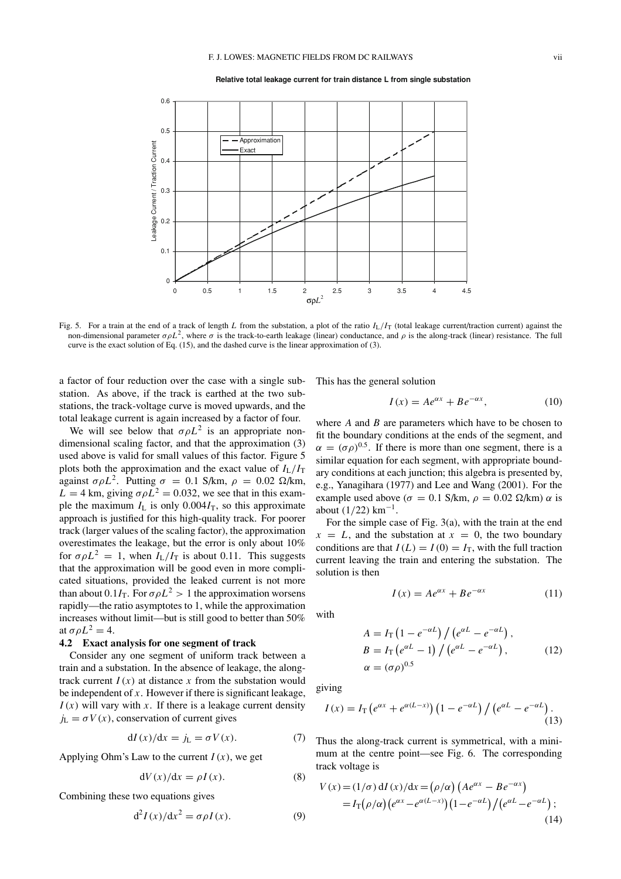#### **Relative total leakage current for train distance L from single substation**



Fig. 5. For a train at the end of a track of length *L* from the substation, a plot of the ratio  $I_L/I_T$  (total leakage current/traction current) against the non-dimensional parameter  $σρL<sup>2</sup>$ , where σ is the track-to-earth leakage (linear) conductance, and  $ρ$  is the along-track (linear) resistance. The full curve is the exact solution of Eq. (15), and the dashed curve is the linear approximation of (3).

a factor of four reduction over the case with a single substation. As above, if the track is earthed at the two substations, the track-voltage curve is moved upwards, and the total leakage current is again increased by a factor of four.

We will see below that  $\sigma \rho L^2$  is an appropriate nondimensional scaling factor, and that the approximation (3) used above is valid for small values of this factor. Figure 5 plots both the approximation and the exact value of  $I_L/I_T$ against  $\sigma \rho L^2$ . Putting  $\sigma = 0.1$  S/km,  $\rho = 0.02$   $\Omega$ /km,  $L = 4$  km, giving  $\sigma \rho L^2 = 0.032$ , we see that in this example the maximum  $I_L$  is only  $0.004I_T$ , so this approximate approach is justified for this high-quality track. For poorer track (larger values of the scaling factor), the approximation overestimates the leakage, but the error is only about 10% for  $\sigma \rho L^2 = 1$ , when  $I_L/I_T$  is about 0.11. This suggests that the approximation will be good even in more complicated situations, provided the leaked current is not more than about  $0.1I_T$ . For  $\sigma \rho L^2 > 1$  the approximation worsens rapidly—the ratio asymptotes to 1, while the approximation increases without limit—but is still good to better than 50% at  $\sigma \rho L^2 = 4$ .

# **4.2 Exact analysis for one segment of track**

Consider any one segment of uniform track between a train and a substation. In the absence of leakage, the alongtrack current  $I(x)$  at distance x from the substation would be independent of *x*. However if there is significant leakage,  $I(x)$  will vary with *x*. If there is a leakage current density  $j_L = \sigma V(x)$ , conservation of current gives

$$
dI(x)/dx = j_L = \sigma V(x). \tag{7}
$$

Applying Ohm's Law to the current  $I(x)$ , we get

$$
dV(x)/dx = \rho I(x). \tag{8}
$$

Combining these two equations gives

$$
\mathrm{d}^2 I(x)/\mathrm{d}x^2 = \sigma \rho I(x). \tag{9}
$$

This has the general solution

$$
I(x) = Ae^{\alpha x} + Be^{-\alpha x}, \qquad (10)
$$

where *A* and *B* are parameters which have to be chosen to fit the boundary conditions at the ends of the segment, and  $\alpha = (\sigma \rho)^{0.5}$ . If there is more than one segment, there is a similar equation for each segment, with appropriate boundary conditions at each junction; this algebra is presented by, e.g., Yanagihara (1977) and Lee and Wang (2001). For the example used above ( $\sigma = 0.1$  S/km,  $\rho = 0.02$   $\Omega$ /km)  $\alpha$  is about  $(1/22)$  km<sup>-1</sup>.

For the simple case of Fig. 3(a), with the train at the end  $x = L$ , and the substation at  $x = 0$ , the two boundary conditions are that  $I(L) = I(0) = I<sub>T</sub>$ , with the full traction current leaving the train and entering the substation. The solution is then

$$
I(x) = Ae^{\alpha x} + Be^{-\alpha x}
$$
 (11)

with

$$
A = I_{\text{T}} \left( 1 - e^{-\alpha L} \right) / \left( e^{\alpha L} - e^{-\alpha L} \right),
$$
  
\n
$$
B = I_{\text{T}} \left( e^{\alpha L} - 1 \right) / \left( e^{\alpha L} - e^{-\alpha L} \right),
$$
  
\n
$$
\alpha = (\sigma \rho)^{0.5}
$$
\n(12)

giving

$$
I(x) = I_{\rm T} \left( e^{\alpha x} + e^{\alpha (L-x)} \right) \left( 1 - e^{-\alpha L} \right) / \left( e^{\alpha L} - e^{-\alpha L} \right). \tag{13}
$$

Thus the along-track current is symmetrical, with a minimum at the centre point—see Fig. 6. The corresponding track voltage is

$$
V(x) = (1/\sigma) dI(x)/dx = (\rho/\alpha) (Ae^{\alpha x} - Be^{-\alpha x})
$$
  
=  $I_T(\rho/\alpha) (e^{\alpha x} - e^{\alpha(L-x)}) (1 - e^{-\alpha L}) / (e^{\alpha L} - e^{-\alpha L})$ ;  
(14)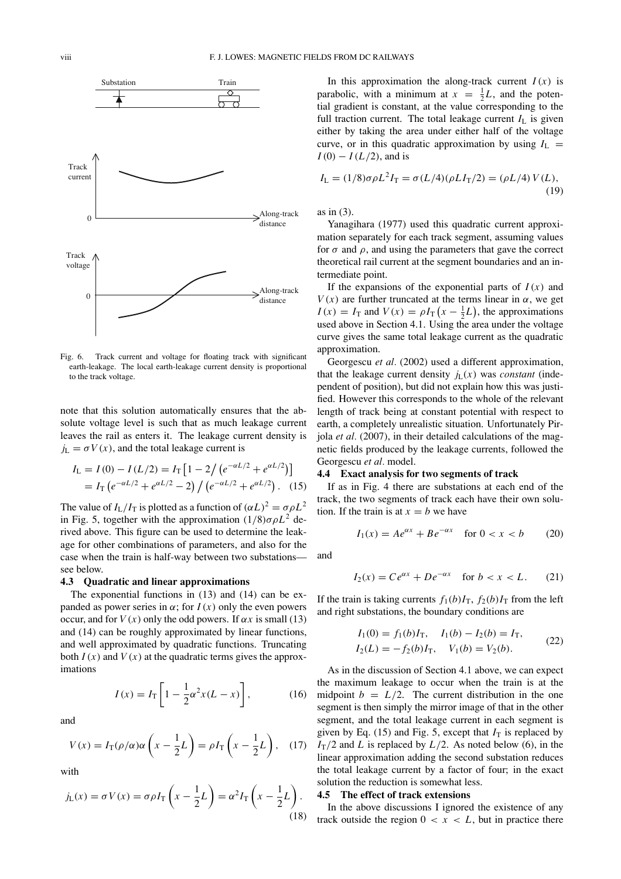

Fig. 6. Track current and voltage for floating track with significant earth-leakage. The local earth-leakage current density is proportional to the track voltage.

note that this solution automatically ensures that the absolute voltage level is such that as much leakage current leaves the rail as enters it. The leakage current density is  $j_L = \sigma V(x)$ , and the total leakage current is

$$
I_{\rm L} = I(0) - I(L/2) = I_{\rm T} \left[ 1 - 2 / \left( e^{-\alpha L/2} + e^{\alpha L/2} \right) \right]
$$
  
=  $I_{\rm T} \left( e^{-\alpha L/2} + e^{\alpha L/2} - 2 \right) / \left( e^{-\alpha L/2} + e^{\alpha L/2} \right).$  (15)

The value of  $I_L/I_T$  is plotted as a function of  $(\alpha L)^2 = \sigma \rho L^2$ in Fig. 5, together with the approximation  $(1/8)\sigma \rho L^2$  derived above. This figure can be used to determine the leakage for other combinations of parameters, and also for the case when the train is half-way between two substations see below.

#### **4.3 Quadratic and linear approximations**

The exponential functions in (13) and (14) can be expanded as power series in  $\alpha$ ; for  $I(x)$  only the even powers occur, and for  $V(x)$  only the odd powers. If  $\alpha x$  is small (13) and (14) can be roughly approximated by linear functions, and well approximated by quadratic functions. Truncating both  $I(x)$  and  $V(x)$  at the quadratic terms gives the approximations

$$
I(x) = I_{\rm T} \left[ 1 - \frac{1}{2} \alpha^2 x (L - x) \right],\tag{16}
$$

and

$$
V(x) = I_T(\rho/\alpha)\alpha \left(x - \frac{1}{2}L\right) = \rho I_T\left(x - \frac{1}{2}L\right), \quad (17)
$$

with

$$
j_{\rm L}(x) = \sigma V(x) = \sigma \rho I_{\rm T} \left( x - \frac{1}{2} L \right) = \alpha^2 I_{\rm T} \left( x - \frac{1}{2} L \right). \tag{18}
$$

In this approximation the along-track current  $I(x)$  is parabolic, with a minimum at  $x = \frac{1}{2}L$ , and the potential gradient is constant, at the value corresponding to the full traction current. The total leakage current  $I_L$  is given either by taking the area under either half of the voltage curve, or in this quadratic approximation by using  $I_L$  = *I*(0) − *I*(*L*/2), and is

$$
I_{\rm L} = (1/8)\sigma \rho L^2 I_{\rm T} = \sigma (L/4)(\rho L I_{\rm T}/2) = (\rho L/4) V(L),
$$
\n(19)

as in (3).

Yanagihara (1977) used this quadratic current approximation separately for each track segment, assuming values for  $\sigma$  and  $\rho$ , and using the parameters that gave the correct theoretical rail current at the segment boundaries and an intermediate point.

If the expansions of the exponential parts of  $I(x)$  and  $V(x)$  are further truncated at the terms linear in  $\alpha$ , we get  $I(x) = I_T$  and  $V(x) = \rho I_T (x - \frac{1}{2}L)$ , the approximations used above in Section 4.1. Using the area under the voltage curve gives the same total leakage current as the quadratic approximation.

Georgescu *et al.* (2002) used a different approximation, that the leakage current density  $j_L(x)$  was *constant* (independent of position), but did not explain how this was justified. However this corresponds to the whole of the relevant length of track being at constant potential with respect to earth, a completely unrealistic situation. Unfortunately Pirjola *et al.* (2007), in their detailed calculations of the magnetic fields produced by the leakage currents, followed the Georgescu *et al.* model.

### **4.4 Exact analysis for two segments of track**

If as in Fig. 4 there are substations at each end of the track, the two segments of track each have their own solution. If the train is at  $x = b$  we have

and

$$
I_2(x) = Ce^{\alpha x} + De^{-\alpha x} \text{ for } b < x < L. \tag{21}
$$

*I*<sub>1</sub>(*x*) =  $Ae^{\alpha x} + Be^{-\alpha x}$  for  $0 < x < b$  (20)

If the train is taking currents  $f_1(b)I_T$ ,  $f_2(b)I_T$  from the left and right substations, the boundary conditions are

$$
I_1(0) = f_1(b)I_T, \quad I_1(b) - I_2(b) = I_T,
$$
  
\n
$$
I_2(L) = -f_2(b)I_T, \quad V_1(b) = V_2(b).
$$
\n(22)

As in the discussion of Section 4.1 above, we can expect the maximum leakage to occur when the train is at the midpoint  $b = L/2$ . The current distribution in the one segment is then simply the mirror image of that in the other segment, and the total leakage current in each segment is given by Eq. (15) and Fig. 5, except that  $I_T$  is replaced by  $I_T/2$  and *L* is replaced by  $L/2$ . As noted below (6), in the linear approximation adding the second substation reduces the total leakage current by a factor of four; in the exact solution the reduction is somewhat less.

### **4.5 The effect of track extensions**

In the above discussions I ignored the existence of any track outside the region  $0 < x < L$ , but in practice there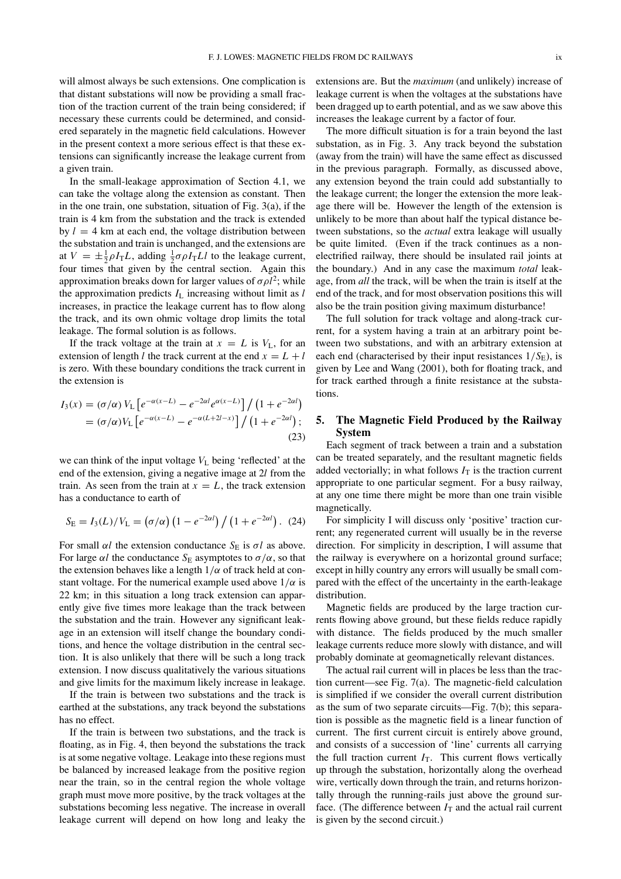will almost always be such extensions. One complication is that distant substations will now be providing a small fraction of the traction current of the train being considered; if necessary these currents could be determined, and considered separately in the magnetic field calculations. However in the present context a more serious effect is that these extensions can significantly increase the leakage current from a given train.

In the small-leakage approximation of Section 4.1, we can take the voltage along the extension as constant. Then in the one train, one substation, situation of Fig. 3(a), if the train is 4 km from the substation and the track is extended by  $l = 4$  km at each end, the voltage distribution between the substation and train is unchanged, and the extensions are at  $V = \pm \frac{1}{2} \rho I_T L$ , adding  $\frac{1}{2} \sigma \rho I_T L l$  to the leakage current, four times that given by the central section. Again this approximation breaks down for larger values of  $\sigma \rho l^2$ ; while the approximation predicts  $I_L$  increasing without limit as  $l$ increases, in practice the leakage current has to flow along the track, and its own ohmic voltage drop limits the total leakage. The formal solution is as follows.

If the track voltage at the train at  $x = L$  is  $V_L$ , for an extension of length *l* the track current at the end  $x = L + l$ is zero. With these boundary conditions the track current in the extension is

$$
I_3(x) = (\sigma/\alpha) V_L \left[ e^{-\alpha(x-L)} - e^{-2\alpha l} e^{\alpha(x-L)} \right] / \left( 1 + e^{-2\alpha l} \right)
$$
  
= 
$$
(\sigma/\alpha) V_L \left[ e^{-\alpha(x-L)} - e^{-\alpha(L+2l-x)} \right] / \left( 1 + e^{-2\alpha l} \right);
$$
 (23)

we can think of the input voltage  $V<sub>L</sub>$  being 'reflected' at the end of the extension, giving a negative image at 2*l* from the train. As seen from the train at  $x = L$ , the track extension has a conductance to earth of

$$
S_{\rm E} = I_3(L)/V_{\rm L} = (\sigma/\alpha) (1 - e^{-2\alpha l}) / (1 + e^{-2\alpha l}). \tag{24}
$$

For small  $\alpha l$  the extension conductance  $S_E$  is  $\sigma l$  as above. For large  $\alpha l$  the conductance  $S_E$  asymptotes to  $\sigma/\alpha$ , so that the extension behaves like a length  $1/\alpha$  of track held at constant voltage. For the numerical example used above  $1/\alpha$  is 22 km; in this situation a long track extension can apparently give five times more leakage than the track between the substation and the train. However any significant leakage in an extension will itself change the boundary conditions, and hence the voltage distribution in the central section. It is also unlikely that there will be such a long track extension. I now discuss qualitatively the various situations and give limits for the maximum likely increase in leakage.

If the train is between two substations and the track is earthed at the substations, any track beyond the substations has no effect.

If the train is between two substations, and the track is floating, as in Fig. 4, then beyond the substations the track is at some negative voltage. Leakage into these regions must be balanced by increased leakage from the positive region near the train, so in the central region the whole voltage graph must move more positive, by the track voltages at the substations becoming less negative. The increase in overall leakage current will depend on how long and leaky the extensions are. But the *maximum* (and unlikely) increase of leakage current is when the voltages at the substations have been dragged up to earth potential, and as we saw above this increases the leakage current by a factor of four.

The more difficult situation is for a train beyond the last substation, as in Fig. 3. Any track beyond the substation (away from the train) will have the same effect as discussed in the previous paragraph. Formally, as discussed above, any extension beyond the train could add substantially to the leakage current; the longer the extension the more leakage there will be. However the length of the extension is unlikely to be more than about half the typical distance between substations, so the *actual* extra leakage will usually be quite limited. (Even if the track continues as a nonelectrified railway, there should be insulated rail joints at the boundary.) And in any case the maximum *total* leakage, from *all* the track, will be when the train is itself at the end of the track, and for most observation positions this will also be the train position giving maximum disturbance!

The full solution for track voltage and along-track current, for a system having a train at an arbitrary point between two substations, and with an arbitrary extension at each end (characterised by their input resistances  $1/S_E$ ), is given by Lee and Wang (2001), both for floating track, and for track earthed through a finite resistance at the substations.

# **5. The Magnetic Field Produced by the Railway System**

Each segment of track between a train and a substation can be treated separately, and the resultant magnetic fields added vectorially; in what follows  $I_T$  is the traction current appropriate to one particular segment. For a busy railway, at any one time there might be more than one train visible magnetically.

For simplicity I will discuss only 'positive' traction current; any regenerated current will usually be in the reverse direction. For simplicity in description, I will assume that the railway is everywhere on a horizontal ground surface; except in hilly country any errors will usually be small compared with the effect of the uncertainty in the earth-leakage distribution.

Magnetic fields are produced by the large traction currents flowing above ground, but these fields reduce rapidly with distance. The fields produced by the much smaller leakage currents reduce more slowly with distance, and will probably dominate at geomagnetically relevant distances.

The actual rail current will in places be less than the traction current—see Fig. 7(a). The magnetic-field calculation is simplified if we consider the overall current distribution as the sum of two separate circuits—Fig. 7(b); this separation is possible as the magnetic field is a linear function of current. The first current circuit is entirely above ground, and consists of a succession of 'line' currents all carrying the full traction current  $I_T$ . This current flows vertically up through the substation, horizontally along the overhead wire, vertically down through the train, and returns horizontally through the running-rails just above the ground surface. (The difference between  $I_T$  and the actual rail current is given by the second circuit.)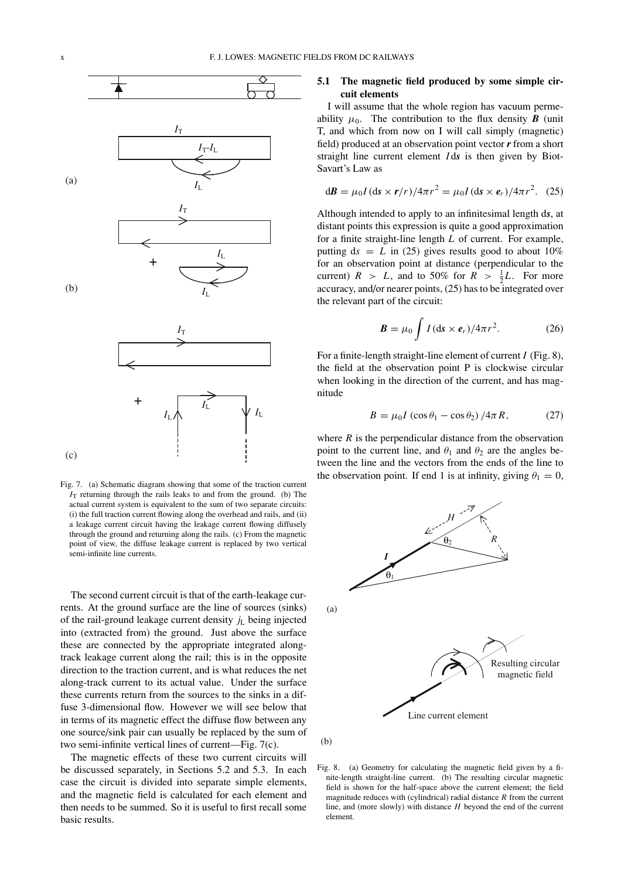

Fig. 7. (a) Schematic diagram showing that some of the traction current  $I<sub>T</sub>$  returning through the rails leaks to and from the ground. (b) The actual current system is equivalent to the sum of two separate circuits: (i) the full traction current flowing along the overhead and rails, and (ii) a leakage current circuit having the leakage current flowing diffusely through the ground and returning along the rails. (c) From the magnetic point of view, the diffuse leakage current is replaced by two vertical semi-infinite line currents.

The second current circuit is that of the earth-leakage currents. At the ground surface are the line of sources (sinks) of the rail-ground leakage current density *j*<sup>L</sup> being injected into (extracted from) the ground. Just above the surface these are connected by the appropriate integrated alongtrack leakage current along the rail; this is in the opposite direction to the traction current, and is what reduces the net along-track current to its actual value. Under the surface these currents return from the sources to the sinks in a diffuse 3-dimensional flow. However we will see below that in terms of its magnetic effect the diffuse flow between any one source/sink pair can usually be replaced by the sum of two semi-infinite vertical lines of current—Fig. 7(c).

The magnetic effects of these two current circuits will be discussed separately, in Sections 5.2 and 5.3. In each case the circuit is divided into separate simple elements, and the magnetic field is calculated for each element and then needs to be summed. So it is useful to first recall some basic results.

## **5.1 The magnetic field produced by some simple circuit elements**

I will assume that the whole region has vacuum permeability  $\mu_0$ . The contribution to the flux density **B** (unit T, and which from now on I will call simply (magnetic) field) produced at an observation point vector *r* from a short straight line current element *I* d*s* is then given by Biot-Savart's Law as

$$
d\boldsymbol{B} = \mu_0 I \left( ds \times \boldsymbol{r}/r \right) / 4\pi r^2 = \mu_0 I \left( ds \times \boldsymbol{e}_r \right) / 4\pi r^2. \quad (25)
$$

Although intended to apply to an infinitesimal length d*s*, at distant points this expression is quite a good approximation for a finite straight-line length *L* of current. For example, putting  $ds = L$  in (25) gives results good to about 10% for an observation point at distance (perpendicular to the current)  $R > L$ , and to 50% for  $R > \frac{1}{2}L$ . For more accuracy, and/or nearer points, (25) has to be integrated over the relevant part of the circuit:

$$
\boldsymbol{B} = \mu_0 \int I(\mathrm{d}s \times \boldsymbol{e}_r) / 4\pi r^2. \tag{26}
$$

For a finite-length straight-line element of current *I* (Fig. 8), the field at the observation point P is clockwise circular when looking in the direction of the current, and has magnitude

$$
B = \mu_0 I \left( \cos \theta_1 - \cos \theta_2 \right) / 4\pi R, \tag{27}
$$

where  $R$  is the perpendicular distance from the observation point to the current line, and  $\theta_1$  and  $\theta_2$  are the angles between the line and the vectors from the ends of the line to the observation point. If end 1 is at infinity, giving  $\theta_1 = 0$ ,



(b)

Fig. 8. (a) Geometry for calculating the magnetic field given by a finite-length straight-line current. (b) The resulting circular magnetic field is shown for the half-space above the current element; the field magnitude reduces with (cylindrical) radial distance *R* from the current line, and (more slowly) with distance *H* beyond the end of the current element.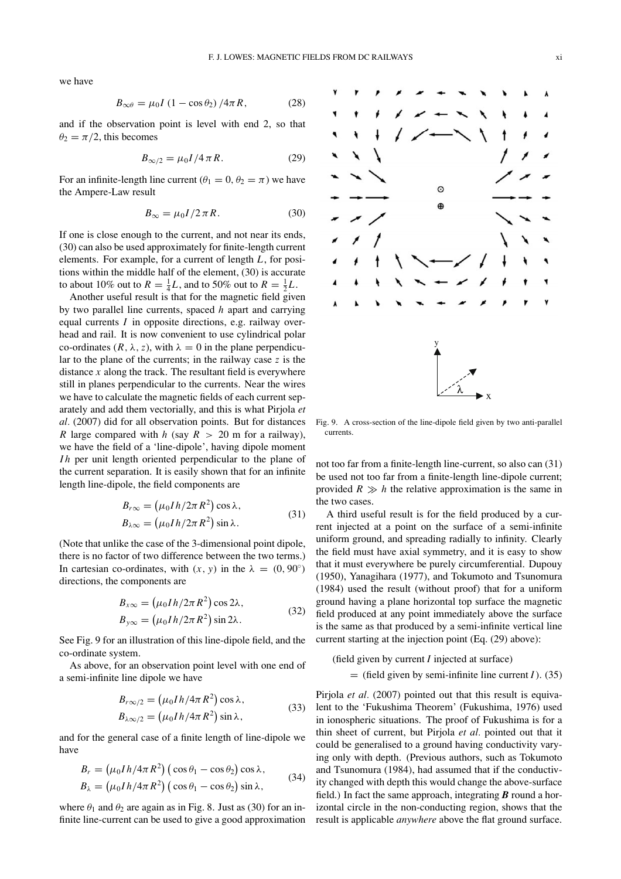we have

$$
B_{\infty\theta} = \mu_0 I \left(1 - \cos\theta_2\right) / 4\pi R, \tag{28}
$$

and if the observation point is level with end 2, so that  $\theta_2 = \pi/2$ , this becomes

$$
B_{\infty/2} = \mu_0 I / 4 \pi R. \tag{29}
$$

For an infinite-length line current ( $\theta_1 = 0$ ,  $\theta_2 = \pi$ ) we have the Ampere-Law result

$$
B_{\infty} = \mu_0 I / 2 \pi R. \tag{30}
$$

If one is close enough to the current, and not near its ends, (30) can also be used approximately for finite-length current elements. For example, for a current of length *L*, for positions within the middle half of the element, (30) is accurate to about 10% out to  $R = \frac{1}{4}L$ , and to 50% out to  $R = \frac{1}{2}L$ .

Another useful result is that for the magnetic field given by two parallel line currents, spaced *h* apart and carrying equal currents *I* in opposite directions, e.g. railway overhead and rail. It is now convenient to use cylindrical polar co-ordinates  $(R, \lambda, z)$ , with  $\lambda = 0$  in the plane perpendicular to the plane of the currents; in the railway case *z* is the distance *x* along the track. The resultant field is everywhere still in planes perpendicular to the currents. Near the wires we have to calculate the magnetic fields of each current separately and add them vectorially, and this is what Pirjola *et al.* (2007) did for all observation points. But for distances *R* large compared with *h* (say  $R > 20$  m for a railway), we have the field of a 'line-dipole', having dipole moment *Ih* per unit length oriented perpendicular to the plane of the current separation. It is easily shown that for an infinite length line-dipole, the field components are

$$
B_{r\infty} = (\mu_0 I h / 2\pi R^2) \cos \lambda,
$$
  
\n
$$
B_{\lambda\infty} = (\mu_0 I h / 2\pi R^2) \sin \lambda.
$$
\n(31)

(Note that unlike the case of the 3-dimensional point dipole, there is no factor of two difference between the two terms.) In cartesian co-ordinates, with  $(x, y)$  in the  $\lambda = (0, 90°)$ directions, the components are

$$
B_{x\infty} = (\mu_0 I h / 2\pi R^2) \cos 2\lambda,
$$
  
\n
$$
B_{y\infty} = (\mu_0 I h / 2\pi R^2) \sin 2\lambda.
$$
\n(32)

See Fig. 9 for an illustration of this line-dipole field, and the co-ordinate system.

As above, for an observation point level with one end of a semi-infinite line dipole we have

$$
B_{r\infty/2} = (\mu_0 I h / 4\pi R^2) \cos \lambda,
$$
  
\n
$$
B_{\lambda \infty/2} = (\mu_0 I h / 4\pi R^2) \sin \lambda,
$$
\n(33)

and for the general case of a finite length of line-dipole we have

$$
B_r = (\mu_0 I h / 4\pi R^2) (\cos \theta_1 - \cos \theta_2) \cos \lambda,
$$
  
\n
$$
B_\lambda = (\mu_0 I h / 4\pi R^2) (\cos \theta_1 - \cos \theta_2) \sin \lambda,
$$
 (34)

where  $\theta_1$  and  $\theta_2$  are again as in Fig. 8. Just as (30) for an infinite line-current can be used to give a good approximation



Fig. 9. A cross-section of the line-dipole field given by two anti-parallel currents.

not too far from a finite-length line-current, so also can (31) be used not too far from a finite-length line-dipole current; provided  $R \gg h$  the relative approximation is the same in the two cases.

A third useful result is for the field produced by a current injected at a point on the surface of a semi-infinite uniform ground, and spreading radially to infinity. Clearly the field must have axial symmetry, and it is easy to show that it must everywhere be purely circumferential. Dupouy (1950), Yanagihara (1977), and Tokumoto and Tsunomura (1984) used the result (without proof) that for a uniform ground having a plane horizontal top surface the magnetic field produced at any point immediately above the surface is the same as that produced by a semi-infinite vertical line current starting at the injection point (Eq. (29) above):

(field given by current *I* injected at surface)  $=$  (field given by semi-infinite line current *I*). (35)

Pirjola *et al.* (2007) pointed out that this result is equivalent to the 'Fukushima Theorem' (Fukushima, 1976) used in ionospheric situations. The proof of Fukushima is for a thin sheet of current, but Pirjola *et al.* pointed out that it could be generalised to a ground having conductivity varying only with depth. (Previous authors, such as Tokumoto and Tsunomura (1984), had assumed that if the conductivity changed with depth this would change the above-surface field.) In fact the same approach, integrating *B* round a horizontal circle in the non-conducting region, shows that the result is applicable *anywhere* above the flat ground surface.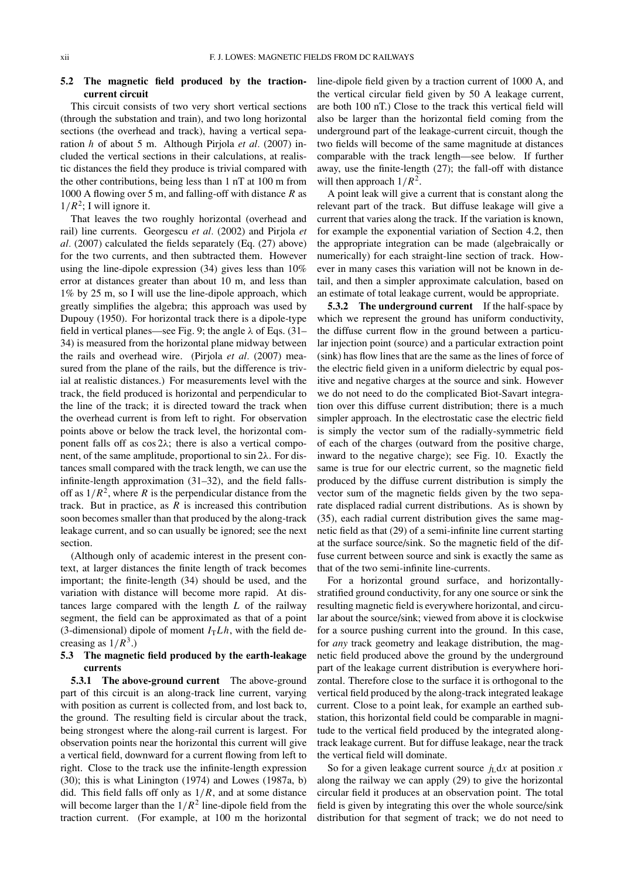# **5.2 The magnetic field produced by the tractioncurrent circuit**

This circuit consists of two very short vertical sections (through the substation and train), and two long horizontal sections (the overhead and track), having a vertical separation *h* of about 5 m. Although Pirjola *et al.* (2007) included the vertical sections in their calculations, at realistic distances the field they produce is trivial compared with the other contributions, being less than 1 nT at 100 m from 1000 A flowing over 5 m, and falling-off with distance *R* as  $1/R<sup>2</sup>$ ; I will ignore it.

That leaves the two roughly horizontal (overhead and rail) line currents. Georgescu *et al.* (2002) and Pirjola *et al.* (2007) calculated the fields separately (Eq. (27) above) for the two currents, and then subtracted them. However using the line-dipole expression (34) gives less than 10% error at distances greater than about 10 m, and less than 1% by 25 m, so I will use the line-dipole approach, which greatly simplifies the algebra; this approach was used by Dupouy (1950). For horizontal track there is a dipole-type field in vertical planes—see Fig. 9; the angle  $\lambda$  of Eqs. (31– 34) is measured from the horizontal plane midway between the rails and overhead wire. (Pirjola *et al.* (2007) measured from the plane of the rails, but the difference is trivial at realistic distances.) For measurements level with the track, the field produced is horizontal and perpendicular to the line of the track; it is directed toward the track when the overhead current is from left to right. For observation points above or below the track level, the horizontal component falls off as  $\cos 2\lambda$ ; there is also a vertical component, of the same amplitude, proportional to sin 2λ. For distances small compared with the track length, we can use the infinite-length approximation (31–32), and the field fallsoff as  $1/R<sup>2</sup>$ , where *R* is the perpendicular distance from the track. But in practice, as  $R$  is increased this contribution soon becomes smaller than that produced by the along-track leakage current, and so can usually be ignored; see the next section.

(Although only of academic interest in the present context, at larger distances the finite length of track becomes important; the finite-length (34) should be used, and the variation with distance will become more rapid. At distances large compared with the length *L* of the railway segment, the field can be approximated as that of a point (3-dimensional) dipole of moment  $I<sub>T</sub> L h$ , with the field decreasing as  $1/R<sup>3</sup>$ .)

# **5.3 The magnetic field produced by the earth-leakage currents**

**5.3.1 The above-ground current** The above-ground part of this circuit is an along-track line current, varying with position as current is collected from, and lost back to, the ground. The resulting field is circular about the track, being strongest where the along-rail current is largest. For observation points near the horizontal this current will give a vertical field, downward for a current flowing from left to right. Close to the track use the infinite-length expression (30); this is what Linington (1974) and Lowes (1987a, b) did. This field falls off only as  $1/R$ , and at some distance will become larger than the  $1/R^2$  line-dipole field from the traction current. (For example, at 100 m the horizontal line-dipole field given by a traction current of 1000 A, and the vertical circular field given by 50 A leakage current, are both 100 nT.) Close to the track this vertical field will also be larger than the horizontal field coming from the underground part of the leakage-current circuit, though the two fields will become of the same magnitude at distances comparable with the track length—see below. If further away, use the finite-length (27); the fall-off with distance will then approach  $1/R<sup>2</sup>$ .

A point leak will give a current that is constant along the relevant part of the track. But diffuse leakage will give a current that varies along the track. If the variation is known, for example the exponential variation of Section 4.2, then the appropriate integration can be made (algebraically or numerically) for each straight-line section of track. However in many cases this variation will not be known in detail, and then a simpler approximate calculation, based on an estimate of total leakage current, would be appropriate.

**5.3.2 The underground current** If the half-space by which we represent the ground has uniform conductivity, the diffuse current flow in the ground between a particular injection point (source) and a particular extraction point (sink) has flow lines that are the same as the lines of force of the electric field given in a uniform dielectric by equal positive and negative charges at the source and sink. However we do not need to do the complicated Biot-Savart integration over this diffuse current distribution; there is a much simpler approach. In the electrostatic case the electric field is simply the vector sum of the radially-symmetric field of each of the charges (outward from the positive charge, inward to the negative charge); see Fig. 10. Exactly the same is true for our electric current, so the magnetic field produced by the diffuse current distribution is simply the vector sum of the magnetic fields given by the two separate displaced radial current distributions. As is shown by (35), each radial current distribution gives the same magnetic field as that (29) of a semi-infinite line current starting at the surface source/sink. So the magnetic field of the diffuse current between source and sink is exactly the same as that of the two semi-infinite line-currents.

For a horizontal ground surface, and horizontallystratified ground conductivity, for any one source or sink the resulting magnetic field is everywhere horizontal, and circular about the source/sink; viewed from above it is clockwise for a source pushing current into the ground. In this case, for *any* track geometry and leakage distribution, the magnetic field produced above the ground by the underground part of the leakage current distribution is everywhere horizontal. Therefore close to the surface it is orthogonal to the vertical field produced by the along-track integrated leakage current. Close to a point leak, for example an earthed substation, this horizontal field could be comparable in magnitude to the vertical field produced by the integrated alongtrack leakage current. But for diffuse leakage, near the track the vertical field will dominate.

So for a given leakage current source  $j<sub>L</sub> dx$  at position  $x$ along the railway we can apply (29) to give the horizontal circular field it produces at an observation point. The total field is given by integrating this over the whole source/sink distribution for that segment of track; we do not need to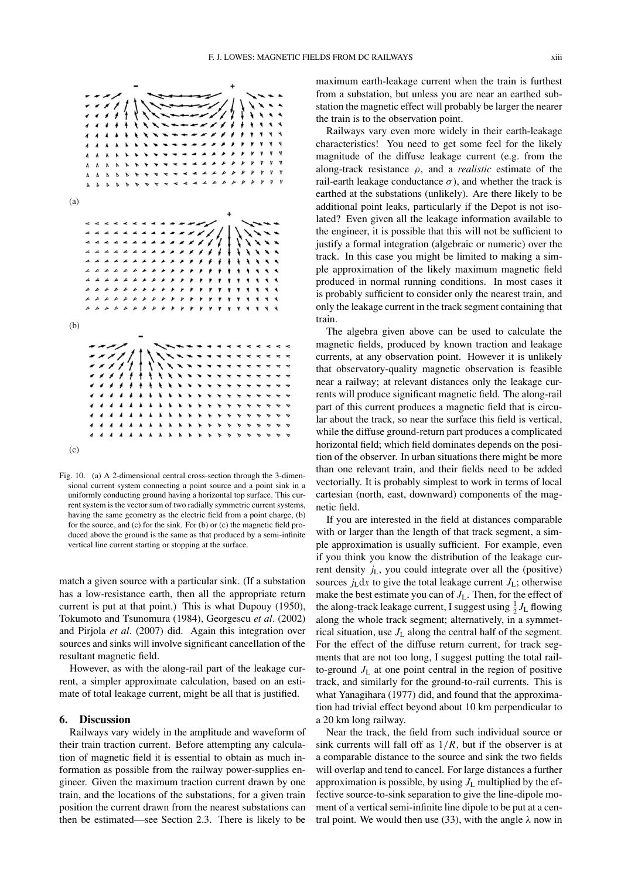

Fig. 10. (a) A 2-dimensional central cross-section through the 3-dimensional current system connecting a point source and a point sink in a uniformly conducting ground having a horizontal top surface. This current system is the vector sum of two radially symmetric current systems, having the same geometry as the electric field from a point charge, (b) for the source, and (c) for the sink. For (b) or (c) the magnetic field produced above the ground is the same as that produced by a semi-infinite vertical line current starting or stopping at the surface.

match a given source with a particular sink. (If a substation has a low-resistance earth, then all the appropriate return current is put at that point.) This is what Dupouy (1950), Tokumoto and Tsunomura (1984), Georgescu *et al.* (2002) and Pirjola *et al.* (2007) did. Again this integration over sources and sinks will involve significant cancellation of the resultant magnetic field.

However, as with the along-rail part of the leakage current, a simpler approximate calculation, based on an estimate of total leakage current, might be all that is justified.

#### **6. Discussion**

Railways vary widely in the amplitude and waveform of their train traction current. Before attempting any calculation of magnetic field it is essential to obtain as much information as possible from the railway power-supplies engineer. Given the maximum traction current drawn by one train, and the locations of the substations, for a given train position the current drawn from the nearest substations can then be estimated—see Section 2.3. There is likely to be maximum earth-leakage current when the train is furthest from a substation, but unless you are near an earthed substation the magnetic effect will probably be larger the nearer the train is to the observation point.

Railways vary even more widely in their earth-leakage characteristics! You need to get some feel for the likely magnitude of the diffuse leakage current (e.g. from the along-track resistance  $\rho$ , and a *realistic* estimate of the rail-earth leakage conductance  $\sigma$ ), and whether the track is earthed at the substations (unlikely). Are there likely to be additional point leaks, particularly if the Depot is not isolated? Even given all the leakage information available to the engineer, it is possible that this will not be sufficient to justify a formal integration (algebraic or numeric) over the track. In this case you might be limited to making a simple approximation of the likely maximum magnetic field produced in normal running conditions. In most cases it is probably sufficient to consider only the nearest train, and only the leakage current in the track segment containing that train.

The algebra given above can be used to calculate the magnetic fields, produced by known traction and leakage currents, at any observation point. However it is unlikely that observatory-quality magnetic observation is feasible near a railway; at relevant distances only the leakage currents will produce significant magnetic field. The along-rail part of this current produces a magnetic field that is circular about the track, so near the surface this field is vertical, while the diffuse ground-return part produces a complicated horizontal field; which field dominates depends on the position of the observer. In urban situations there might be more than one relevant train, and their fields need to be added vectorially. It is probably simplest to work in terms of local cartesian (north, east, downward) components of the magnetic field.

If you are interested in the field at distances comparable with or larger than the length of that track segment, a simple approximation is usually sufficient. For example, even if you think you know the distribution of the leakage current density  $j_L$ , you could integrate over all the (positive) sources  $j_L dx$  to give the total leakage current  $J_L$ ; otherwise make the best estimate you can of  $J<sub>L</sub>$ . Then, for the effect of the along-track leakage current, I suggest using  $\frac{1}{2}J_L$  flowing along the whole track segment; alternatively, in a symmetrical situation, use  $J_L$  along the central half of the segment. For the effect of the diffuse return current, for track segments that are not too long, I suggest putting the total railto-ground  $J_{\rm L}$  at one point central in the region of positive track, and similarly for the ground-to-rail currents. This is what Yanagihara (1977) did, and found that the approximation had trivial effect beyond about 10 km perpendicular to a 20 km long railway.

Near the track, the field from such individual source or sink currents will fall off as  $1/R$ , but if the observer is at a comparable distance to the source and sink the two fields will overlap and tend to cancel. For large distances a further approximation is possible, by using  $J_L$  multiplied by the effective source-to-sink separation to give the line-dipole moment of a vertical semi-infinite line dipole to be put at a central point. We would then use (33), with the angle  $\lambda$  now in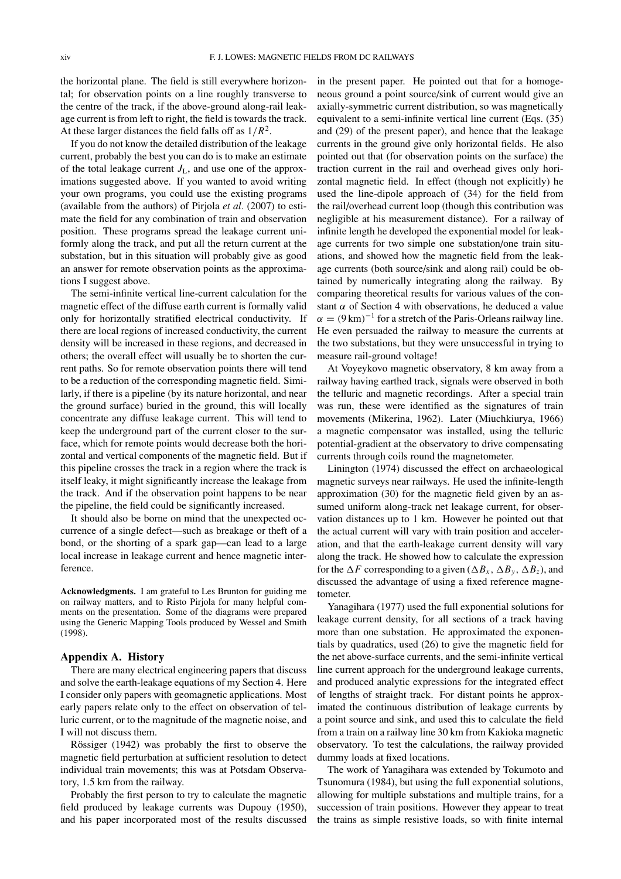the horizontal plane. The field is still everywhere horizontal; for observation points on a line roughly transverse to the centre of the track, if the above-ground along-rail leakage current is from left to right, the field is towards the track. At these larger distances the field falls off as 1/*R*2.

If you do not know the detailed distribution of the leakage current, probably the best you can do is to make an estimate of the total leakage current  $J_L$ , and use one of the approximations suggested above. If you wanted to avoid writing your own programs, you could use the existing programs (available from the authors) of Pirjola *et al.* (2007) to estimate the field for any combination of train and observation position. These programs spread the leakage current uniformly along the track, and put all the return current at the substation, but in this situation will probably give as good an answer for remote observation points as the approximations I suggest above.

The semi-infinite vertical line-current calculation for the magnetic effect of the diffuse earth current is formally valid only for horizontally stratified electrical conductivity. If there are local regions of increased conductivity, the current density will be increased in these regions, and decreased in others; the overall effect will usually be to shorten the current paths. So for remote observation points there will tend to be a reduction of the corresponding magnetic field. Similarly, if there is a pipeline (by its nature horizontal, and near the ground surface) buried in the ground, this will locally concentrate any diffuse leakage current. This will tend to keep the underground part of the current closer to the surface, which for remote points would decrease both the horizontal and vertical components of the magnetic field. But if this pipeline crosses the track in a region where the track is itself leaky, it might significantly increase the leakage from the track. And if the observation point happens to be near the pipeline, the field could be significantly increased.

It should also be borne on mind that the unexpected occurrence of a single defect—such as breakage or theft of a bond, or the shorting of a spark gap—can lead to a large local increase in leakage current and hence magnetic interference.

**Acknowledgments.** I am grateful to Les Brunton for guiding me on railway matters, and to Risto Pirjola for many helpful comments on the presentation. Some of the diagrams were prepared using the Generic Mapping Tools produced by Wessel and Smith (1998).

### **Appendix A. History**

There are many electrical engineering papers that discuss and solve the earth-leakage equations of my Section 4. Here I consider only papers with geomagnetic applications. Most early papers relate only to the effect on observation of telluric current, or to the magnitude of the magnetic noise, and I will not discuss them.

Rössiger (1942) was probably the first to observe the magnetic field perturbation at sufficient resolution to detect individual train movements; this was at Potsdam Observatory, 1.5 km from the railway.

Probably the first person to try to calculate the magnetic field produced by leakage currents was Dupouy (1950), and his paper incorporated most of the results discussed

in the present paper. He pointed out that for a homogeneous ground a point source/sink of current would give an axially-symmetric current distribution, so was magnetically equivalent to a semi-infinite vertical line current (Eqs. (35) and (29) of the present paper), and hence that the leakage currents in the ground give only horizontal fields. He also pointed out that (for observation points on the surface) the traction current in the rail and overhead gives only horizontal magnetic field. In effect (though not explicitly) he used the line-dipole approach of (34) for the field from the rail/overhead current loop (though this contribution was negligible at his measurement distance). For a railway of infinite length he developed the exponential model for leakage currents for two simple one substation/one train situations, and showed how the magnetic field from the leakage currents (both source/sink and along rail) could be obtained by numerically integrating along the railway. By comparing theoretical results for various values of the constant  $\alpha$  of Section 4 with observations, he deduced a value  $\alpha = (9 \text{ km})^{-1}$  for a stretch of the Paris-Orleans railway line. He even persuaded the railway to measure the currents at the two substations, but they were unsuccessful in trying to measure rail-ground voltage!

At Voyeykovo magnetic observatory, 8 km away from a railway having earthed track, signals were observed in both the telluric and magnetic recordings. After a special train was run, these were identified as the signatures of train movements (Mikerina, 1962). Later (Miuchkiurya, 1966) a magnetic compensator was installed, using the telluric potential-gradient at the observatory to drive compensating currents through coils round the magnetometer.

Linington (1974) discussed the effect on archaeological magnetic surveys near railways. He used the infinite-length approximation (30) for the magnetic field given by an assumed uniform along-track net leakage current, for observation distances up to 1 km. However he pointed out that the actual current will vary with train position and acceleration, and that the earth-leakage current density will vary along the track. He showed how to calculate the expression for the  $\Delta F$  corresponding to a given  $(\Delta B_x, \Delta B_y, \Delta B_z)$ , and discussed the advantage of using a fixed reference magnetometer.

Yanagihara (1977) used the full exponential solutions for leakage current density, for all sections of a track having more than one substation. He approximated the exponentials by quadratics, used (26) to give the magnetic field for the net above-surface currents, and the semi-infinite vertical line current approach for the underground leakage currents, and produced analytic expressions for the integrated effect of lengths of straight track. For distant points he approximated the continuous distribution of leakage currents by a point source and sink, and used this to calculate the field from a train on a railway line 30 km from Kakioka magnetic observatory. To test the calculations, the railway provided dummy loads at fixed locations.

The work of Yanagihara was extended by Tokumoto and Tsunomura (1984), but using the full exponential solutions, allowing for multiple substations and multiple trains, for a succession of train positions. However they appear to treat the trains as simple resistive loads, so with finite internal